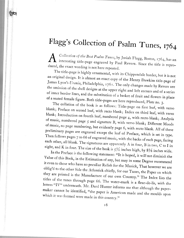## Flagg's Collection of Psalm Tunes, <sup>1764</sup>

Gollection of the Best Psalm Tunes, by Josiah Flagg, Boston, 1764, has an duced, the exact wording is not here repeated. interesting title-page engraved by Paul Revere. Since the title is repro-

an original The title-page is highly ornamental, with its Chippendale border, but it is not an original design. It is almost an exact copy of the Henry Dawkins title-page of Lyon's *Urania*, Philadelphia, funce Eyon's Crania, Philadelphia, 1761. The only changes made by Revere are the omission of the shell designs at the upper right and left corners and of a series<br>of inner border lines, and denoted in the state of the corners and of a series of inner border lines, and the substitution of a basket of fruit and flowers in place<br>of a seated female figure. But it is a seated female figure. Both title-pages are here reproduced, Plate no. 3.

The collation of the book is as follows: Title-page on first leaf, with verso blank; Preface on second leaf, with recto blank; Index on third leaf, with verso blank; Introduction on fourth leaf, numbered page 4, with recto blank; Analysis<br>of music, numbered pass 5 and 1. of music, numbered page 5 and signature B, with verso blank; Different Moods preliminary of music, no page numbering, but evidently page 6, with recto blank. All of these prefilminary pages are engraved except the leaf of Preface, which is set in type.<br>Then follows pages 5 to 66 ef. Then follows pages 7 to 66 of engraved music, with the backs of each page, facing eight, and K in four. The size of the book is  $5\frac{1}{4}$  inches high, by  $8\frac{1}{8}$  inches wide. each other, all blank. The signatures are apparently <sup>A</sup> in four, <sup>B</sup> in two, <sup>C</sup> to <sup>I</sup> in

Value of this Book, in the Estimation of any, but may in some Degree recommend In the Preface is the following statement: "It is hoped, it will not diminish the oblig'd to the other Side the Atlantick chiefly, for our Tunes, the Paper on which it even to those who have no peculiar Relish for the Musick, That however we are they are printed is the Manufacture of our own Country." The Index lists the titles of the tunes through page 66. The water-mark is <sup>a</sup> fleur-de-lis, with the letters "IV" underneath. Mr. Dard Hunter informs me that although the paper-<br>maker cannot be identified, (64 maker cannot be identified, "the paper is American made and the moulds upon<br>which it was formed wore med in this which it was formed were made in this country."